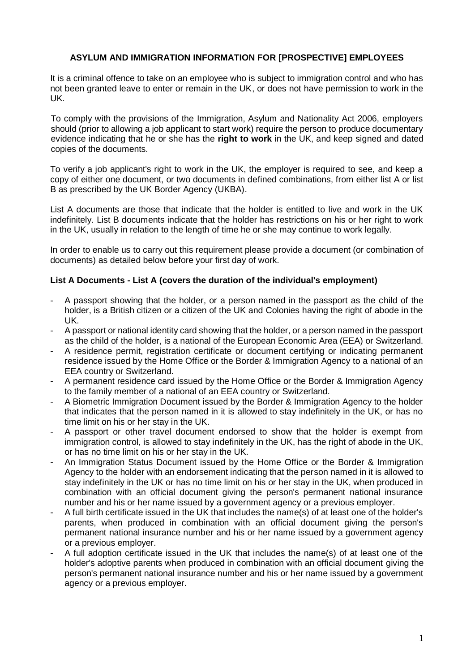## **ASYLUM AND IMMIGRATION INFORMATION FOR [PROSPECTIVE] EMPLOYEES**

It is a criminal offence to take on an employee who is subject to immigration control and who has not been granted leave to enter or remain in the UK, or does not have permission to work in the UK.

To comply with the provisions of the Immigration, Asylum and Nationality Act 2006, employers should (prior to allowing a job applicant to start work) require the person to produce documentary evidence indicating that he or she has the **right to work** in the UK, and keep signed and dated copies of the documents.

To verify a job applicant's right to work in the UK, the employer is required to see, and keep a copy of either one document, or two documents in defined combinations, from either list A or list B as prescribed by the UK Border Agency (UKBA).

List A documents are those that indicate that the holder is entitled to live and work in the UK indefinitely. List B documents indicate that the holder has restrictions on his or her right to work in the UK, usually in relation to the length of time he or she may continue to work legally.

In order to enable us to carry out this requirement please provide a document (or combination of documents) as detailed below before your first day of work.

## **List A Documents - List A (covers the duration of the individual's employment)**

- A passport showing that the holder, or a person named in the passport as the child of the holder, is a British citizen or a citizen of the UK and Colonies having the right of abode in the UK.
- A passport or national identity card showing that the holder, or a person named in the passport as the child of the holder, is a national of the European Economic Area (EEA) or Switzerland.
- A residence permit, registration certificate or document certifying or indicating permanent residence issued by the Home Office or the Border & Immigration Agency to a national of an EEA country or Switzerland.
- A permanent residence card issued by the Home Office or the Border & Immigration Agency to the family member of a national of an EEA country or Switzerland.
- A Biometric Immigration Document issued by the Border & Immigration Agency to the holder that indicates that the person named in it is allowed to stay indefinitely in the UK, or has no time limit on his or her stay in the UK.
- A passport or other travel document endorsed to show that the holder is exempt from immigration control, is allowed to stay indefinitely in the UK, has the right of abode in the UK, or has no time limit on his or her stay in the UK.
- An Immigration Status Document issued by the Home Office or the Border & Immigration Agency to the holder with an endorsement indicating that the person named in it is allowed to stay indefinitely in the UK or has no time limit on his or her stay in the UK, when produced in combination with an official document giving the person's permanent national insurance number and his or her name issued by a government agency or a previous employer.
- A full birth certificate issued in the UK that includes the name(s) of at least one of the holder's parents, when produced in combination with an official document giving the person's permanent national insurance number and his or her name issued by a government agency or a previous employer.
- A full adoption certificate issued in the UK that includes the name(s) of at least one of the holder's adoptive parents when produced in combination with an official document giving the person's permanent national insurance number and his or her name issued by a government agency or a previous employer.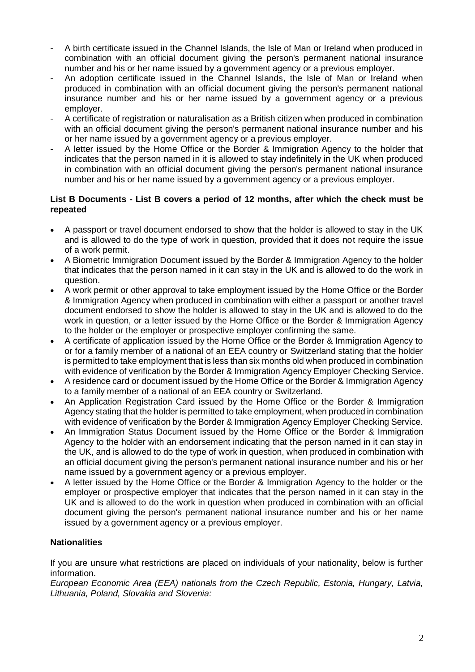- A birth certificate issued in the Channel Islands, the Isle of Man or Ireland when produced in combination with an official document giving the person's permanent national insurance number and his or her name issued by a government agency or a previous employer.
- An adoption certificate issued in the Channel Islands, the Isle of Man or Ireland when produced in combination with an official document giving the person's permanent national insurance number and his or her name issued by a government agency or a previous employer.
- A certificate of registration or naturalisation as a British citizen when produced in combination with an official document giving the person's permanent national insurance number and his or her name issued by a government agency or a previous employer.
- A letter issued by the Home Office or the Border & Immigration Agency to the holder that indicates that the person named in it is allowed to stay indefinitely in the UK when produced in combination with an official document giving the person's permanent national insurance number and his or her name issued by a government agency or a previous employer.

## **List B Documents - List B covers a period of 12 months, after which the check must be repeated**

- A passport or travel document endorsed to show that the holder is allowed to stay in the UK and is allowed to do the type of work in question, provided that it does not require the issue of a work permit.
- A Biometric Immigration Document issued by the Border & Immigration Agency to the holder that indicates that the person named in it can stay in the UK and is allowed to do the work in question.
- A work permit or other approval to take employment issued by the Home Office or the Border & Immigration Agency when produced in combination with either a passport or another travel document endorsed to show the holder is allowed to stay in the UK and is allowed to do the work in question, or a letter issued by the Home Office or the Border & Immigration Agency to the holder or the employer or prospective employer confirming the same.
- A certificate of application issued by the Home Office or the Border & Immigration Agency to or for a family member of a national of an EEA country or Switzerland stating that the holder is permitted to take employment that is less than six months old when produced in combination with evidence of verification by the Border & Immigration Agency Employer Checking Service.
- A residence card or document issued by the Home Office or the Border & Immigration Agency to a family member of a national of an EEA country or Switzerland.
- An Application Registration Card issued by the Home Office or the Border & Immigration Agency stating that the holder is permitted to take employment, when produced in combination with evidence of verification by the Border & Immigration Agency Employer Checking Service.
- An Immigration Status Document issued by the Home Office or the Border & Immigration Agency to the holder with an endorsement indicating that the person named in it can stay in the UK, and is allowed to do the type of work in question, when produced in combination with an official document giving the person's permanent national insurance number and his or her name issued by a government agency or a previous employer.
- A letter issued by the Home Office or the Border & Immigration Agency to the holder or the employer or prospective employer that indicates that the person named in it can stay in the UK and is allowed to do the work in question when produced in combination with an official document giving the person's permanent national insurance number and his or her name issued by a government agency or a previous employer.

# **Nationalities**

If you are unsure what restrictions are placed on individuals of your nationality, below is further information.

*European Economic Area (EEA) nationals from the Czech Republic, Estonia, Hungary, Latvia, Lithuania, Poland, Slovakia and Slovenia:*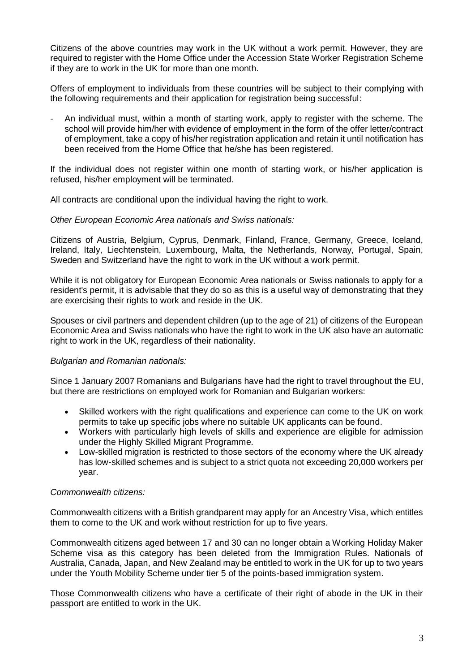Citizens of the above countries may work in the UK without a work permit. However, they are required to register with the Home Office under the Accession State Worker Registration Scheme if they are to work in the UK for more than one month.

Offers of employment to individuals from these countries will be subject to their complying with the following requirements and their application for registration being successful:

- An individual must, within a month of starting work, apply to register with the scheme. The school will provide him/her with evidence of employment in the form of the offer letter/contract of employment, take a copy of his/her registration application and retain it until notification has been received from the Home Office that he/she has been registered.

If the individual does not register within one month of starting work, or his/her application is refused, his/her employment will be terminated.

All contracts are conditional upon the individual having the right to work.

#### *Other European Economic Area nationals and Swiss nationals:*

Citizens of Austria, Belgium, Cyprus, Denmark, Finland, France, Germany, Greece, Iceland, Ireland, Italy, Liechtenstein, Luxembourg, Malta, the Netherlands, Norway, Portugal, Spain, Sweden and Switzerland have the right to work in the UK without a work permit.

While it is not obligatory for European Economic Area nationals or Swiss nationals to apply for a resident's permit, it is advisable that they do so as this is a useful way of demonstrating that they are exercising their rights to work and reside in the UK.

Spouses or civil partners and dependent children (up to the age of 21) of citizens of the European Economic Area and Swiss nationals who have the right to work in the UK also have an automatic right to work in the UK, regardless of their nationality.

### *Bulgarian and Romanian nationals:*

Since 1 January 2007 Romanians and Bulgarians have had the right to travel throughout the EU, but there are restrictions on employed work for Romanian and Bulgarian workers:

- Skilled workers with the right qualifications and experience can come to the UK on work permits to take up specific jobs where no suitable UK applicants can be found.
- Workers with particularly high levels of skills and experience are eligible for admission under the Highly Skilled Migrant Programme.
- Low-skilled migration is restricted to those sectors of the economy where the UK already has low-skilled schemes and is subject to a strict quota not exceeding 20,000 workers per year.

#### *Commonwealth citizens:*

Commonwealth citizens with a British grandparent may apply for an Ancestry Visa, which entitles them to come to the UK and work without restriction for up to five years.

Commonwealth citizens aged between 17 and 30 can no longer obtain a Working Holiday Maker Scheme visa as this category has been deleted from the Immigration Rules. Nationals of Australia, Canada, Japan, and New Zealand may be entitled to work in the UK for up to two years under the Youth Mobility Scheme under tier 5 of the points-based immigration system.

Those Commonwealth citizens who have a certificate of their right of abode in the UK in their passport are entitled to work in the UK.